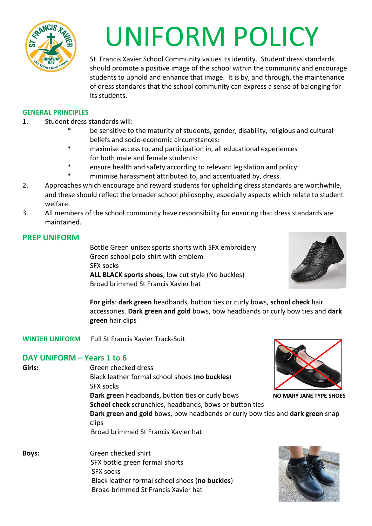

# UNIFORM POLICY

St. Francis Xavier School Community values its identity. Student dress standards should promote a positive image of the school within the community and encourage students to uphold and enhance that image. It is by, and through, the maintenance of dress standards that the school community can express a sense of belonging for its students.

#### **GENERAL PRINCIPLES**

- 1. Student dress standards will:
	- be sensitive to the maturity of students, gender, disability, religious and cultural beliefs and socio-economic circumstances:
	- maximise access to, and participation in, all educational experiences for both male and female students:
	- \* ensure health and safety according to relevant legislation and policy:
	- minimise harassment attributed to, and accentuated by, dress.
- 2. Approaches which encourage and reward students for upholding dress standards are worthwhile, and these should reflect the broader school philosophy, especially aspects which relate to student welfare.
- 3. All members of the school community have responsibility for ensuring that dress standards are maintained.

## **PREP UNIFORM**

Bottle Green unisex sports shorts with SFX embroidery Green school polo-shirt with emblem SFX socks **ALL BLACK sports shoes**, low cut style (No buckles) Broad brimmed St Francis Xavier hat



**For girls**: **dark green** headbands, button ties or curly bows, **school check** hair accessories. **Dark green and gold** bows, bow headbands or curly bow ties and **dark green** hair clips

**WINTER UNIFORM** Full St Francis Xavier Track-Suit

## **DAY UNIFORM – Years 1 to 6**

| Girls:       | Green checked dress                                                                                                                             |                                |  |
|--------------|-------------------------------------------------------------------------------------------------------------------------------------------------|--------------------------------|--|
|              | Black leather formal school shoes (no buckles)                                                                                                  |                                |  |
|              | <b>SFX socks</b>                                                                                                                                |                                |  |
|              | Dark green headbands, button ties or curly bows                                                                                                 | <b>NO MARY JANE TYPE SHOES</b> |  |
|              | <b>School check</b> scrunchies, headbands, bows or button ties<br>Dark green and gold bows, bow headbands or curly bow ties and dark green snap |                                |  |
|              |                                                                                                                                                 |                                |  |
|              | Broad brimmed St Francis Xavier hat                                                                                                             |                                |  |
| <b>Boys:</b> | Green checked shirt                                                                                                                             |                                |  |
|              |                                                                                                                                                 |                                |  |

 SFX bottle green formal shorts SFX socks Black leather formal school shoes (**no buckles**) Broad brimmed St Francis Xavier hat